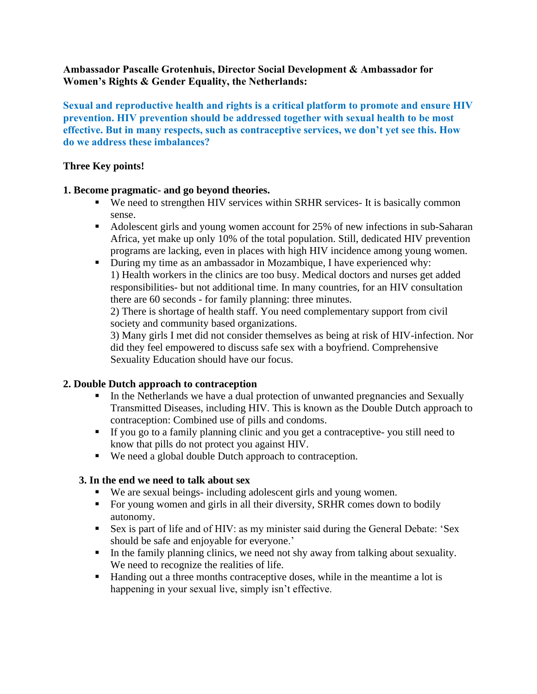## **Ambassador Pascalle Grotenhuis, Director Social Development & Ambassador for Women's Rights & Gender Equality, the Netherlands:**

**Sexual and reproductive health and rights is a critical platform to promote and ensure HIV prevention. HIV prevention should be addressed together with sexual health to be most effective. But in many respects, such as contraceptive services, we don't yet see this. How do we address these imbalances?** 

## **Three Key points!**

## **1. Become pragmatic- and go beyond theories.**

- We need to strengthen HIV services within SRHR services- It is basically common sense.
- Adolescent girls and young women account for 25% of new infections in sub-Saharan Africa, yet make up only 10% of the total population. Still, dedicated HIV prevention programs are lacking, even in places with high HIV incidence among young women.
- During my time as an ambassador in Mozambique, I have experienced why: 1) Health workers in the clinics are too busy. Medical doctors and nurses get added responsibilities- but not additional time. In many countries, for an HIV consultation there are 60 seconds - for family planning: three minutes.

2) There is shortage of health staff. You need complementary support from civil society and community based organizations.

3) Many girls I met did not consider themselves as being at risk of HIV-infection. Nor did they feel empowered to discuss safe sex with a boyfriend. Comprehensive Sexuality Education should have our focus.

# **2. Double Dutch approach to contraception**

- In the Netherlands we have a dual protection of unwanted pregnancies and Sexually Transmitted Diseases, including HIV. This is known as the Double Dutch approach to contraception: Combined use of pills and condoms.
- **EXECUTE:** If you go to a family planning clinic and you get a contraceptive- you still need to know that pills do not protect you against HIV.
- We need a global double Dutch approach to contraception.

#### **3. In the end we need to talk about sex**

- We are sexual beings- including adolescent girls and young women.
- For young women and girls in all their diversity, SRHR comes down to bodily autonomy.
- Sex is part of life and of HIV: as my minister said during the General Debate: 'Sex should be safe and enjoyable for everyone.'
- In the family planning clinics, we need not shy away from talking about sexuality. We need to recognize the realities of life.
- Handing out a three months contraceptive doses, while in the meantime a lot is happening in your sexual live, simply isn't effective.